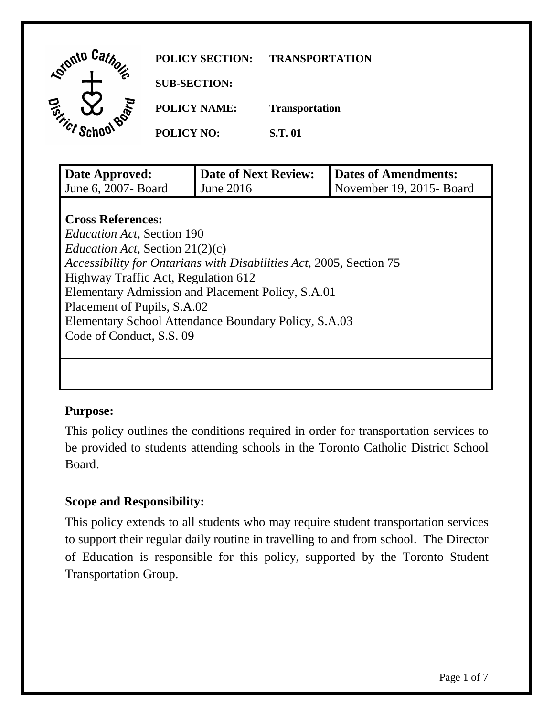| <b>Reforming</b> Catholics |                   | <b>SUB-SECTION:</b><br><b>POLICY NAME:</b> | <b>Transportation</b> |                             |
|----------------------------|-------------------|--------------------------------------------|-----------------------|-----------------------------|
| <b>En Demonstration</b>    | <b>POLICY NO:</b> |                                            | <b>S.T.01</b>         |                             |
|                            |                   |                                            |                       |                             |
| Date Approved:             |                   | <b>Date of Next Review:</b>                |                       | <b>Dates of Amendments:</b> |

*Education Act*, Section 21(2)(c) *Accessibility for Ontarians with Disabilities Act*, 2005, Section 75 Highway Traffic Act, Regulation 612 Elementary Admission and Placement Policy, S.A.01 Placement of Pupils, S.A.02 Elementary School Attendance Boundary Policy, S.A.03 Code of Conduct, S.S. 09

#### **Purpose:**

 be provided to students attending schools in the Toronto Catholic District School This policy outlines the conditions required in order for transportation services to Board.

# **Scope and Responsibility:**

 of Education is responsible for this policy, supported by the Toronto Student This policy extends to all students who may require student transportation services to support their regular daily routine in travelling to and from school. The Director Transportation Group.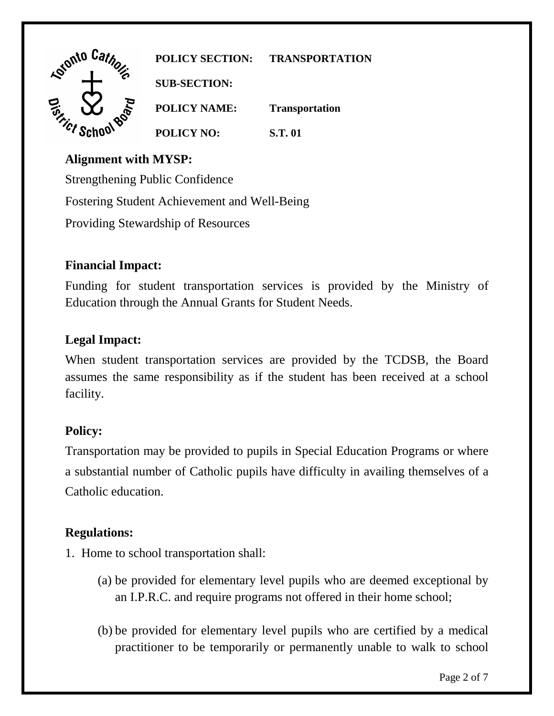

**POLICY SECTION: TRANSPORTATION** 

**POLICY NAME: Transportation POLICY NO: S.T. 01** 

### **Alignment with MYSP:**

Strengthening Public Confidence Fostering Student Achievement and Well-Being Providing Stewardship of Resources

# **Financial Impact:**

Funding for student transportation services is provided by the Ministry of Education through the Annual Grants for Student Needs.

# **Legal Impact:**

 assumes the same responsibility as if the student has been received at a school When student transportation services are provided by the TCDSB, the Board facility.

# **Policy:**

 a substantial number of Catholic pupils have difficulty in availing themselves of a Transportation may be provided to pupils in Special Education Programs or where Catholic education.

# **Regulations:**

- 1. Home to school transportation shall:
	- (a) be provided for elementary level pupils who are deemed exceptional by an I.P.R.C. and require programs not offered in their home school;
	- (b) be provided for elementary level pupils who are certified by a medical practitioner to be temporarily or permanently unable to walk to school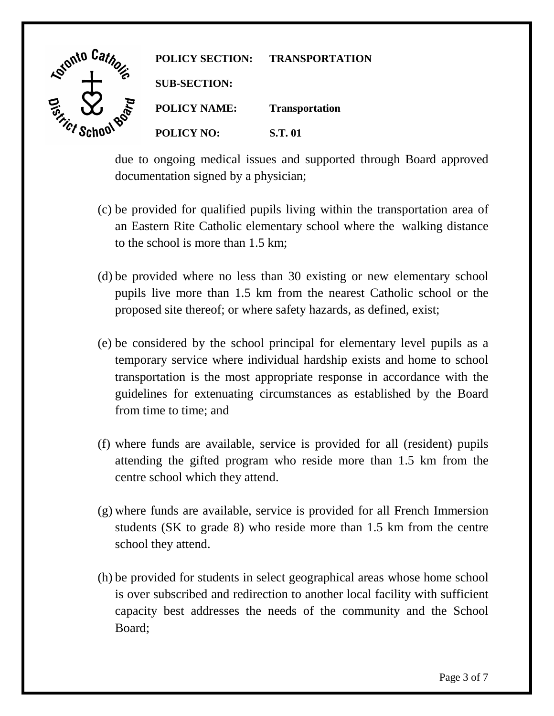

due to ongoing medical issues and supported through Board approved documentation signed by a physician;

- (c) be provided for qualified pupils living within the transportation area of an Eastern Rite Catholic elementary school where the walking distance to the school is more than 1.5 km;
- (d) be provided where no less than 30 existing or new elementary school pupils live more than 1.5 km from the nearest Catholic school or the proposed site thereof; or where safety hazards, as defined, exist;
- temporary service where individual hardship exists and home to school (e) be considered by the school principal for elementary level pupils as a transportation is the most appropriate response in accordance with the guidelines for extenuating circumstances as established by the Board from time to time; and
- (f) where funds are available, service is provided for all (resident) pupils attending the gifted program who reside more than 1.5 km from the centre school which they attend.
- (g) where funds are available, service is provided for all French Immersion students (SK to grade 8) who reside more than 1.5 km from the centre school they attend.
- (h) be provided for students in select geographical areas whose home school is over subscribed and redirection to another local facility with sufficient capacity best addresses the needs of the community and the School Board;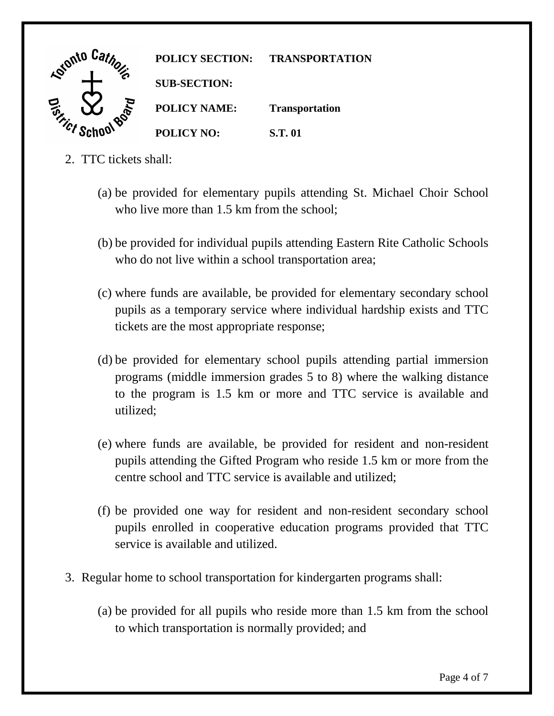

- 2. TTC tickets shall:
	- (a) be provided for elementary pupils attending St. Michael Choir School who live more than 1.5 km from the school:
	- (b) be provided for individual pupils attending Eastern Rite Catholic Schools who do not live within a school transportation area;
	- (c) where funds are available, be provided for elementary secondary school pupils as a temporary service where individual hardship exists and TTC tickets are the most appropriate response;
	- (d) be provided for elementary school pupils attending partial immersion programs (middle immersion grades 5 to 8) where the walking distance to the program is 1.5 km or more and TTC service is available and utilized;
	- pupils attending the Gifted Program who reside 1.5 km or more from the (e) where funds are available, be provided for resident and non-resident centre school and TTC service is available and utilized;
	- (f) be provided one way for resident and non-resident secondary school pupils enrolled in cooperative education programs provided that TTC service is available and utilized.
- 3. Regular home to school transportation for kindergarten programs shall:
	- (a) be provided for all pupils who reside more than 1.5 km from the school to which transportation is normally provided; and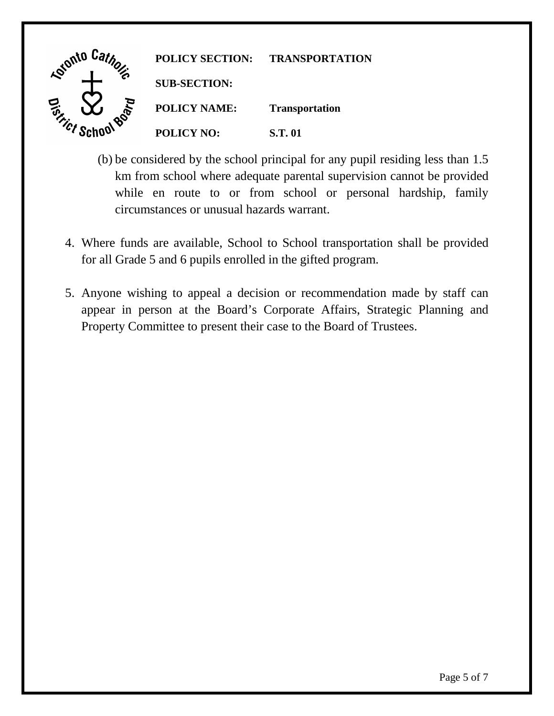

- (b) be considered by the school principal for any pupil residing less than 1.5 km from school where adequate parental supervision cannot be provided while en route to or from school or personal hardship, family circumstances or unusual hazards warrant.
- 4. Where funds are available, School to School transportation shall be provided for all Grade 5 and 6 pupils enrolled in the gifted program.
- 5. Anyone wishing to appeal a decision or recommendation made by staff can appear in person at the Board's Corporate Affairs, Strategic Planning and Property Committee to present their case to the Board of Trustees.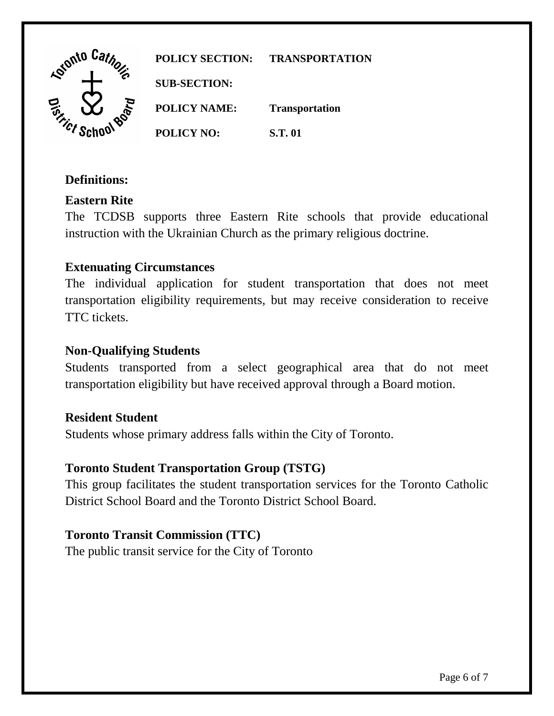

**POLICY SECTION: TRANSPORTATION SUB-SECTION: POLICY NAME: Transportation POLICY NO: S.T. 01** 

### **Definitions:**

# **Eastern Rite**

The TCDSB supports three Eastern Rite schools that provide educational instruction with the Ukrainian Church as the primary religious doctrine.

### **Extenuating Circumstances**

 The individual application for student transportation that does not meet transportation eligibility requirements, but may receive consideration to receive TTC tickets.

#### **Non-Qualifying Students**

Students transported from a select geographical area that do not meet transportation eligibility but have received approval through a Board motion.

#### **Resident Student**

Students whose primary address falls within the City of Toronto.

#### **Toronto Student Transportation Group (TSTG)**

This group facilitates the student transportation services for the Toronto Catholic District School Board and the Toronto District School Board.

#### **Toronto Transit Commission (TTC)**

The public transit service for the City of Toronto